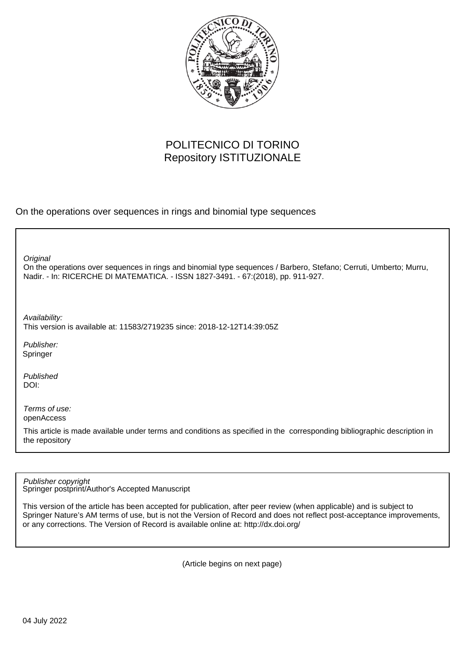

# POLITECNICO DI TORINO Repository ISTITUZIONALE

On the operations over sequences in rings and binomial type sequences

**Original** 

On the operations over sequences in rings and binomial type sequences / Barbero, Stefano; Cerruti, Umberto; Murru, Nadir. - In: RICERCHE DI MATEMATICA. - ISSN 1827-3491. - 67:(2018), pp. 911-927.

Availability: This version is available at: 11583/2719235 since: 2018-12-12T14:39:05Z

Publisher: Springer

Published DOI:

Terms of use: openAccess

This article is made available under terms and conditions as specified in the corresponding bibliographic description in the repository

Publisher copyright

Springer postprint/Author's Accepted Manuscript

This version of the article has been accepted for publication, after peer review (when applicable) and is subject to Springer Nature's AM terms of use, but is not the Version of Record and does not reflect post-acceptance improvements, or any corrections. The Version of Record is available online at: http://dx.doi.org/

(Article begins on next page)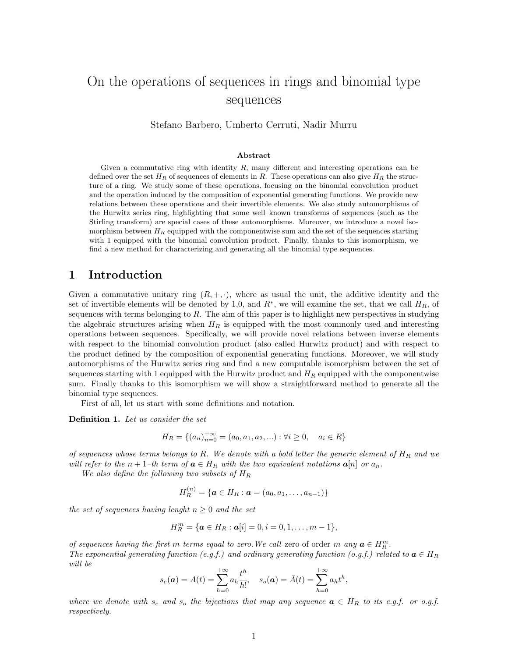# On the operations of sequences in rings and binomial type sequences

Stefano Barbero, Umberto Cerruti, Nadir Murru

#### Abstract

Given a commutative ring with identity  $R$ , many different and interesting operations can be defined over the set  $H_R$  of sequences of elements in R. These operations can also give  $H_R$  the structure of a ring. We study some of these operations, focusing on the binomial convolution product and the operation induced by the composition of exponential generating functions. We provide new relations between these operations and their invertible elements. We also study automorphisms of the Hurwitz series ring, highlighting that some well–known transforms of sequences (such as the Stirling transform) are special cases of these automorphisms. Moreover, we introduce a novel isomorphism between  $H_R$  equipped with the componentwise sum and the set of the sequences starting with 1 equipped with the binomial convolution product. Finally, thanks to this isomorphism, we find a new method for characterizing and generating all the binomial type sequences.

## 1 Introduction

Given a commutative unitary ring  $(R, +, \cdot)$ , where as usual the unit, the additive identity and the set of invertible elements will be denoted by 1,0, and  $R^*$ , we will examine the set, that we call  $H_R$ , of sequences with terms belonging to R. The aim of this paper is to highlight new perspectives in studying the algebraic structures arising when  $H_R$  is equipped with the most commonly used and interesting operations between sequences. Specifically, we will provide novel relations between inverse elements with respect to the binomial convolution product (also called Hurwitz product) and with respect to the product defined by the composition of exponential generating functions. Moreover, we will study automorphisms of the Hurwitz series ring and find a new computable isomorphism between the set of sequences starting with 1 equipped with the Hurwitz product and  $H_R$  equipped with the componentwise sum. Finally thanks to this isomorphism we will show a straightforward method to generate all the binomial type sequences.

First of all, let us start with some definitions and notation.

Definition 1. Let us consider the set

$$
H_R = \{(a_n)_{n=0}^{+\infty} = (a_0, a_1, a_2, \ldots) : \forall i \ge 0, \quad a_i \in R\}
$$

of sequences whose terms belongs to R. We denote with a bold letter the generic element of  $H_R$  and we will refer to the  $n+1$ –th term of  $a \in H_R$  with the two equivalent notations  $a[n]$  or  $a_n$ .

We also define the following two subsets of  $H_R$ 

$$
H_R^{(n)} = \{ \bm{a} \in H_R : \bm{a} = (a_0, a_1, \dots, a_{n-1}) \}
$$

the set of sequences having lenght  $n \geq 0$  and the set

$$
H_R^m = \{ \mathbf{a} \in H_R : \mathbf{a}[i] = 0, i = 0, 1, \dots, m-1 \},\
$$

of sequences having the first m terms equal to zero. We call zero of order m any  $a \in H_R^m$ . The exponential generating function (e.g.f.) and ordinary generating function (o.g.f.) related to  $\mathbf{a} \in H_R$ will be

$$
s_e(\mathbf{a}) = A(t) = \sum_{h=0}^{+\infty} a_h \frac{t^h}{h!}, \quad s_o(\mathbf{a}) = \bar{A}(t) = \sum_{h=0}^{+\infty} a_h t^h,
$$

where we denote with  $s_e$  and  $s_o$  the bijections that map any sequence  $a \in H_R$  to its e.g.f. or o.g.f. respectively.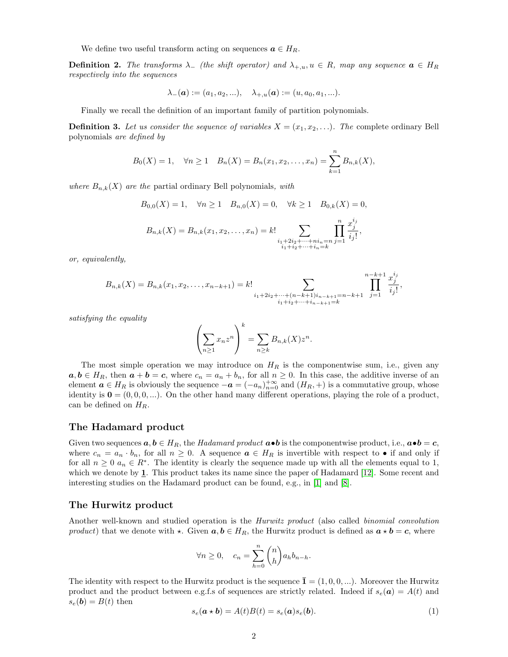We define two useful transform acting on sequences  $a \in H_R$ .

**Definition 2.** The transforms  $\lambda_{-}$  (the shift operator) and  $\lambda_{+,u}, u \in R$ , map any sequence  $\mathbf{a} \in H_R$ respectively into the sequences

$$
\lambda_{-}(\mathbf{a}) := (a_1, a_2, \ldots), \quad \lambda_{+,u}(\mathbf{a}) := (u, a_0, a_1, \ldots).
$$

Finally we recall the definition of an important family of partition polynomials.

**Definition 3.** Let us consider the sequence of variables  $X = (x_1, x_2, \ldots)$ . The complete ordinary Bell polynomials are defined by

$$
B_0(X) = 1
$$
,  $\forall n \ge 1$   $B_n(X) = B_n(x_1, x_2,..., x_n) = \sum_{k=1}^n B_{n,k}(X)$ ,

where  $B_{n,k}(X)$  are the partial ordinary Bell polynomials, with

$$
B_{0,0}(X) = 1, \quad \forall n \ge 1 \quad B_{n,0}(X) = 0, \quad \forall k \ge 1 \quad B_{0,k}(X) = 0,
$$
  

$$
B_{n,k}(X) = B_{n,k}(x_1, x_2, \dots, x_n) = k! \sum_{\substack{i_1 + 2i_2 + \dots + ni_n = n \\ i_1 + i_2 + \dots + i_n = k}} \prod_{j=1}^{n} \frac{x_j^{i_j}}{i_j!},
$$

or, equivalently,

$$
B_{n,k}(X) = B_{n,k}(x_1, x_2, \dots, x_{n-k+1}) = k! \sum_{\substack{i_1 + 2i_2 + \dots + (n-k+1)i_{n-k+1} = n-k+1 \\ i_1 + i_2 + \dots + i_{n-k+1} = k}} \prod_{j=1}^{n-k+1} \frac{x_j^{i_j}}{i_j!},
$$

satisfying the equality

$$
\left(\sum_{n\geq 1}x_nz^n\right)^k=\sum_{n\geq k}B_{n,k}(X)z^n.
$$

The most simple operation we may introduce on  $H_R$  is the componentwise sum, i.e., given any  $a, b \in H_R$ , then  $a + b = c$ , where  $c_n = a_n + b_n$ , for all  $n \ge 0$ . In this case, the additive inverse of an element  $a \in H_R$  is obviously the sequence  $-a = (-a_n)_{n=0}^{+\infty}$  and  $(H_R, +)$  is a commutative group, whose identity is  $\mathbf{0} = (0, 0, 0, ...)$ . On the other hand many different operations, playing the role of a product, can be defined on  $H_R$ .

#### The Hadamard product

Given two sequences  $a, b \in H_R$ , the Hadamard product  $a \bullet b$  is the componentwise product, i.e.,  $a \bullet b = c$ , where  $c_n = a_n \cdot b_n$ , for all  $n \geq 0$ . A sequence  $\boldsymbol{a} \in H_R$  is invertible with respect to • if and only if for all  $n \geq 0$   $a_n \in R^*$ . The identity is clearly the sequence made up with all the elements equal to 1, which we denote by 1. This product takes its name since the paper of Hadamard [12]. Some recent and interesting studies on the Hadamard product can be found, e.g., in [1] and [8].

#### The Hurwitz product

Another well-known and studied operation is the Hurwitz product (also called binomial convolution product) that we denote with  $\star$ . Given  $a, b \in H_R$ , the Hurwitz product is defined as  $a \star b = c$ , where

$$
\forall n \ge 0, \quad c_n = \sum_{h=0}^n \binom{n}{h} a_h b_{n-h}.
$$

The identity with respect to the Hurwitz product is the sequence  $\bar{\mathbf{1}} = (1, 0, 0, \ldots)$ . Moreover the Hurwitz product and the product between e.g.f.s of sequences are strictly related. Indeed if  $s_e(a) = A(t)$  and  $s_e(b) = B(t)$  then

$$
s_e(\mathbf{a} \star \mathbf{b}) = A(t)B(t) = s_e(\mathbf{a})s_e(\mathbf{b}).
$$
\n(1)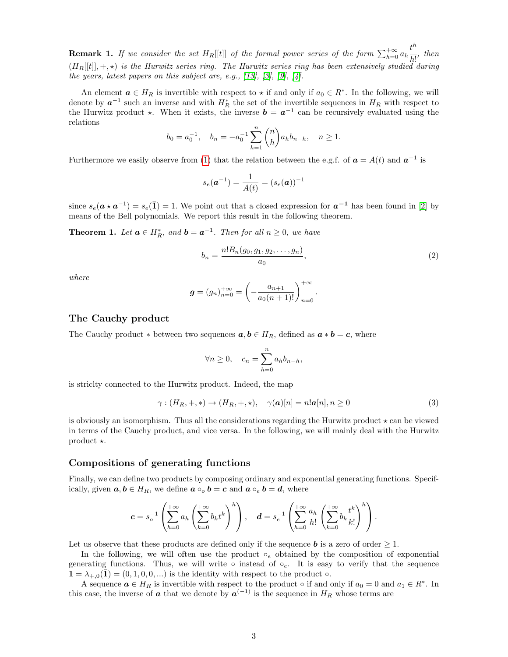**Remark 1.** If we consider the set  $H_R[[t]]$  of the formal power series of the form  $\sum_{h=0}^{+\infty} a_h \frac{t^h}{h!}$  $\frac{c}{h!}$ , then  $(H_R[[t]], +, \star)$  is the Hurwitz series ring. The Hurwitz series ring has been extensively studied during the years, latest papers on this subject are, e.g.,  $[13]$ ,  $[3]$ ,  $[9]$ ,  $[4]$ .

An element  $a \in H_R$  is invertible with respect to  $\star$  if and only if  $a_0 \in R^*$ . In the following, we will denote by  $a^{-1}$  such an inverse and with  $H_R^*$  the set of the invertible sequences in  $H_R$  with respect to the Hurwitz product  $\star$ . When it exists, the inverse  $\mathbf{b} = \mathbf{a}^{-1}$  can be recursively evaluated using the relations

$$
b_0 = a_0^{-1}
$$
,  $b_n = -a_0^{-1} \sum_{h=1}^n {n \choose h} a_h b_{n-h}$ ,  $n \ge 1$ .

Furthermore we easily observe from (1) that the relation between the e.g.f. of  $a = A(t)$  and  $a^{-1}$  is

$$
s_e({\bm{a}}^{-1}) = \frac{1}{A(t)} = (s_e({\bm{a}}))^{-1}
$$

since  $s_e(a \star a^{-1}) = s_e(\bar{1}) = 1$ . We point out that a closed expression for  $a^{-1}$  has been found in [2] by means of the Bell polynomials. We report this result in the following theorem.

**Theorem 1.** Let  $a \in H_R^*$ , and  $b = a^{-1}$ . Then for all  $n \ge 0$ , we have

$$
b_n = \frac{n! B_n(g_0, g_1, g_2, \dots, g_n)}{a_0},\tag{2}
$$

.

where

$$
g = (g_n)_{n=0}^{+\infty} = \left(-\frac{a_{n+1}}{a_0(n+1)!}\right)_{n=0}^{+\infty}
$$

#### The Cauchy product

The Cauchy product  $*$  between two sequences  $a, b \in H_R$ , defined as  $a * b = c$ , where

$$
\forall n \ge 0, \quad c_n = \sum_{h=0}^n a_h b_{n-h},
$$

is striclty connected to the Hurwitz product. Indeed, the map

$$
\gamma : (H_R, +, *) \to (H_R, +, *), \quad \gamma(\mathbf{a})[n] = n! \mathbf{a}[n], n \ge 0
$$
\n
$$
(3)
$$

is obviously an isomorphism. Thus all the considerations regarding the Hurwitz product  $\star$  can be viewed in terms of the Cauchy product, and vice versa. In the following, we will mainly deal with the Hurwitz product  $\star$ .

### Compositions of generating functions

Finally, we can define two products by composing ordinary and exponential generating functions. Specifically, given  $a, b \in H_R$ , we define  $a \circ_a b = c$  and  $a \circ_e b = d$ , where

$$
c = s_o^{-1} \left( \sum_{h=0}^{+\infty} a_h \left( \sum_{k=0}^{+\infty} b_k t^k \right)^h \right), \quad d = s_e^{-1} \left( \sum_{h=0}^{+\infty} \frac{a_h}{h!} \left( \sum_{k=0}^{+\infty} b_k \frac{t^k}{k!} \right)^h \right).
$$

Let us observe that these products are defined only if the sequence  $\boldsymbol{b}$  is a zero of order  $\geq 1$ .

In the following, we will often use the product  $\circ_e$  obtained by the composition of exponential generating functions. Thus, we will write ∘ instead of  $\circ_e$ . It is easy to verify that the sequence  $\mathbf{1} = \lambda_{+,0}(\mathbf{1}) = (0, 1, 0, 0, \ldots)$  is the identity with respect to the product  $\circ$ .

A sequence  $a \in H_R$  is invertible with respect to the product  $\circ$  if and only if  $a_0 = 0$  and  $a_1 \in R^*$ . In this case, the inverse of  $\boldsymbol{a}$  that we denote by  $\boldsymbol{a}^{(-1)}$  is the sequence in  $H_R$  whose terms are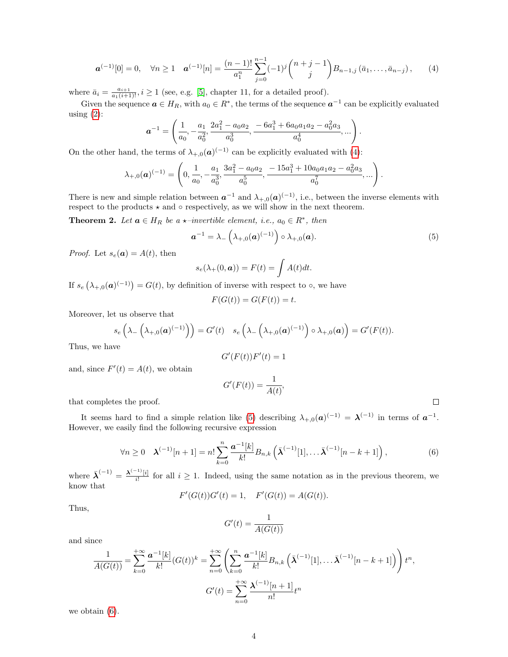$$
\mathbf{a}^{(-1)}[0] = 0, \quad \forall n \ge 1 \quad \mathbf{a}^{(-1)}[n] = \frac{(n-1)!}{a_1^n} \sum_{j=0}^{n-1} (-1)^j {n+j-1 \choose j} B_{n-1,j} (\bar{a}_1, \ldots, \bar{a}_{n-j}), \qquad (4)
$$

where  $\bar{a}_i = \frac{a_{i+1}}{a_1(i+1)!}$ ,  $i \ge 1$  (see, e.g. [5], chapter 11, for a detailed proof).

Given the sequence  $a \in H_R$ , with  $a_0 \in R^*$ , the terms of the sequence  $a^{-1}$  can be explicitly evaluated using  $(2)$ :

$$
\boldsymbol{a}^{-1} = \left(\frac{1}{a_0}, -\frac{a_1}{a_0^2}, \frac{2a_1^2 - a_0a_2}{a_0^3}, \frac{-6a_1^3 + 6a_0a_1a_2 - a_0^2a_3}{a_0^4}, \ldots\right)
$$

On the other hand, the terms of  $\lambda_{+,0}(\mathbf{a})^{(-1)}$  can be explicitly evaluated with (4):

$$
\lambda_{+,0}(\boldsymbol{a})^{(-1)} = \left(0, \frac{1}{a_0}, -\frac{a_1}{a_0^3}, \frac{3a_1^2 - a_0a_2}{a_0^5}, \frac{-15a_1^3 + 10a_0a_1a_2 - a_0^2a_3}{a_0^7}, \dots\right).
$$

There is new and simple relation between  $a^{-1}$  and  $\lambda_{+,0}(a)^{(-1)}$ , i.e., between the inverse elements with respect to the products  $\star$  and  $\circ$  respectively, as we will show in the next theorem.

**Theorem 2.** Let  $a \in H_R$  be a  $\star$ -invertible element, i.e.,  $a_0 \in R^*$ , then

$$
\boldsymbol{a}^{-1} = \lambda_{-}\left(\lambda_{+,0}(\boldsymbol{a})^{(-1)}\right) \circ \lambda_{+,0}(\boldsymbol{a}). \tag{5}
$$

.

 $\Box$ 

*Proof.* Let  $s_e(a) = A(t)$ , then

$$
s_e(\lambda_+(0, \boldsymbol{a})) = F(t) = \int A(t)dt.
$$

If  $s_e(\lambda_{+,0}(\boldsymbol{a})^{(-1)}) = G(t)$ , by definition of inverse with respect to  $\circ$ , we have

$$
F(G(t)) = G(F(t)) = t
$$

Moreover, let us observe that

$$
s_e\left(\lambda_-\left(\lambda_{+,0}(\boldsymbol{a})^{(-1)}\right)\right)=G'(t)\quad s_e\left(\lambda_-\left(\lambda_{+,0}(\boldsymbol{a})^{(-1)}\right)\circ\lambda_{+,0}(\boldsymbol{a})\right)=G'(F(t)).
$$

Thus, we have

$$
G^{\prime}(F(t))F^{\prime}(t)=1
$$

and, since  $F'(t) = A(t)$ , we obtain

$$
G'(F(t)) = \frac{1}{A(t)},
$$

that completes the proof.

It seems hard to find a simple relation like (5) describing  $\lambda_{+,0}(a)^{(-1)} = \lambda^{(-1)}$  in terms of  $a^{-1}$ . However, we easily find the following recursive expression

$$
\forall n \ge 0 \quad \lambda^{(-1)}[n+1] = n! \sum_{k=0}^{n} \frac{a^{-1}[k]}{k!} B_{n,k} \left( \bar{\lambda}^{(-1)}[1], \ldots \bar{\lambda}^{(-1)}[n-k+1] \right), \tag{6}
$$

where  $\bar{\lambda}^{(-1)} = \frac{\lambda^{(-1)}[i]}{i!}$  $\frac{f^{[i]}(i)}{i!}$  for all  $i \geq 1$ . Indeed, using the same notation as in the previous theorem, we know that

$$
F'(G(t))G'(t) = 1
$$
,  $F'(G(t)) = A(G(t))$ .

Thus,

$$
G'(t) = \frac{1}{A(G(t))}
$$

and since

$$
\frac{1}{A(G(t))} = \sum_{k=0}^{+\infty} \frac{a^{-1}[k]}{k!} (G(t))^k = \sum_{n=0}^{+\infty} \left( \sum_{k=0}^n \frac{a^{-1}[k]}{k!} B_{n,k} \left( \bar{\lambda}^{(-1)}[1], \dots, \bar{\lambda}^{(-1)}[n-k+1] \right) \right) t^n,
$$
  

$$
G'(t) = \sum_{n=0}^{+\infty} \frac{\lambda^{(-1)}[n+1]}{n!} t^n
$$

we obtain (6).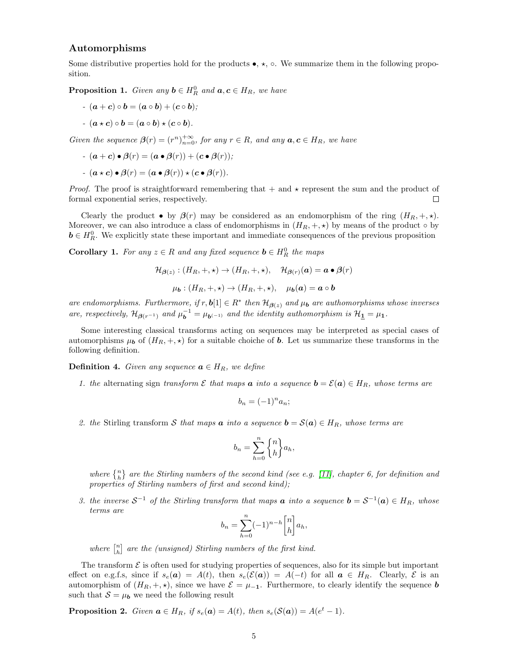#### Automorphisms

Some distributive properties hold for the products  $\bullet$ ,  $\star$ ,  $\circ$ . We summarize them in the following proposition.

**Proposition 1.** Given any  $\mathbf{b} \in H_R^0$  and  $\mathbf{a}, \mathbf{c} \in H_R$ , we have

-  $(a + c) \circ b = (a \circ b) + (c \circ b);$  $-a \times c$ )  $\circ b = (a \circ b) \times (c \circ b).$ 

Given the sequence  $\beta(r) = (r^n)_{n=0}^{+\infty}$ , for any  $r \in R$ , and any  $a, c \in H_R$ , we have

$$
-(\mathbf{a}+\mathbf{c})\bullet\beta(r)=(\mathbf{a}\bullet\beta(r))+(c\bullet\beta(r));
$$

$$
-(\mathbf{a} \star \mathbf{c}) \bullet \beta(r) = (\mathbf{a} \bullet \beta(r)) \star (\mathbf{c} \bullet \beta(r)).
$$

*Proof.* The proof is straightforward remembering that  $+$  and  $\star$  represent the sum and the product of formal exponential series, respectively.  $\Box$ 

Clearly the product  $\bullet$  by  $\beta(r)$  may be considered as an endomorphism of the ring  $(H_R, +, \star)$ . Moreover, we can also introduce a class of endomorphisms in  $(H_R, +, \star)$  by means of the product  $\circ$  by  $\mathbf{b} \in H_R^0$ . We explicitly state these important and immediate consequences of the previous proposition

**Corollary 1.** For any  $z \in R$  and any fixed sequence  $\mathbf{b} \in H_R^0$  the maps

$$
\mathcal{H}_{\beta(z)} : (H_R, +, \star) \to (H_R, +, \star), \quad \mathcal{H}_{\beta(r)}(a) = a \bullet \beta(r)
$$

$$
\mu_b : (H_R, +, \star) \to (H_R, +, \star), \quad \mu_b(a) = a \circ b
$$

are endomorphisms. Furthermore, if  $r, \mathbf{b}[1] \in R^*$  then  $\mathcal{H}_{\beta(z)}$  and  $\mu_{\mathbf{b}}$  are authomorphisms whose inverses are, respectively,  $\mathcal{H}_{\beta(r^{-1})}$  and  $\mu_b^{-1} = \mu_{b^{(-1)}}$  and the identity authomorphism is  $\mathcal{H}_{\mathbf{\underline{1}}} = \mu_{\mathbf{1}}$ .

Some interesting classical transforms acting on sequences may be interpreted as special cases of automorphisms  $\mu_b$  of  $(H_R, +, \star)$  for a suitable choiche of b. Let us summarize these transforms in the following definition.

**Definition 4.** Given any sequence  $\mathbf{a} \in H_R$ , we define

1. the alternating sign transform  $\mathcal E$  that maps  $\boldsymbol a$  into a sequence  $\boldsymbol b = \mathcal E(\boldsymbol a) \in H_R$ , whose terms are

$$
b_n = (-1)^n a_n;
$$

2. the Stirling transform S that maps **a** into a sequence  $\mathbf{b} = \mathcal{S}(\mathbf{a}) \in H_R$ , whose terms are

$$
b_n = \sum_{h=0}^n \binom{n}{h} a_h,
$$

where  $\{n\}$  are the Stirling numbers of the second kind (see e.g. [11], chapter 6, for definition and properties of Stirling numbers of first and second kind);

3. the inverse  $S^{-1}$  of the Stirling transform that maps  $\boldsymbol{a}$  into a sequence  $\boldsymbol{b} = S^{-1}(\boldsymbol{a}) \in H_R$ , whose terms are

$$
b_n = \sum_{h=0}^n (-1)^{n-h} \begin{bmatrix} n \\ h \end{bmatrix} a_h,
$$

where  $\begin{bmatrix} n \\ h \end{bmatrix}$  are the (unsigned) Stirling numbers of the first kind.

The transform  $\mathcal E$  is often used for studying properties of sequences, also for its simple but important effect on e.g.f.s, since if  $s_e(a) = A(t)$ , then  $s_e(\mathcal{E}(a)) = A(-t)$  for all  $a \in H_R$ . Clearly,  $\mathcal E$  is an automorphism of  $(H_R, +, \star)$ , since we have  $\mathcal{E} = \mu_{-1}$ . Furthermore, to clearly identify the sequence **b** such that  $S = \mu_b$  we need the following result

**Proposition 2.** Given  $a \in H_R$ , if  $s_e(a) = A(t)$ , then  $s_e(S(a)) = A(e^t - 1)$ .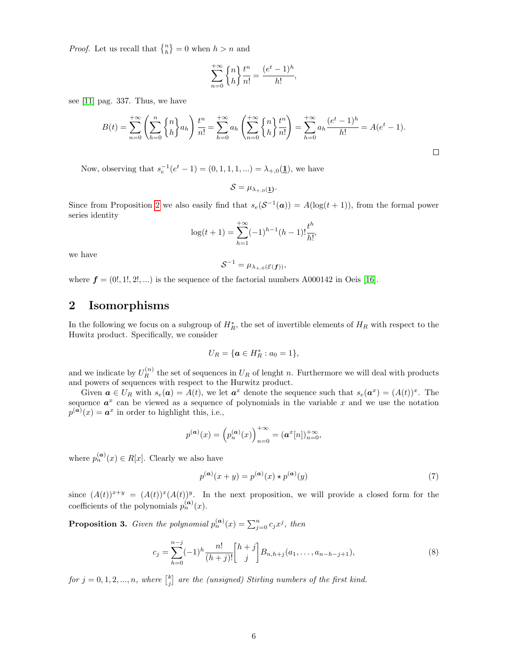*Proof.* Let us recall that  $\{n\} = 0$  when  $h > n$  and

$$
\sum_{n=0}^{+\infty} \begin{Bmatrix} n \\ h \end{Bmatrix} \frac{t^n}{n!} = \frac{(e^t - 1)^h}{h!},
$$

see [11] pag. 337. Thus, we have

$$
B(t) = \sum_{n=0}^{+\infty} \left( \sum_{h=0}^{n} \binom{n}{h} a_h \right) \frac{t^n}{n!} = \sum_{h=0}^{+\infty} a_h \left( \sum_{n=0}^{+\infty} \binom{n}{h} \frac{t^n}{n!} \right) = \sum_{h=0}^{+\infty} a_h \frac{(e^t - 1)^h}{h!} = A(e^t - 1).
$$

Now, observing that  $s_e^{-1}(e^t - 1) = (0, 1, 1, 1, ...) = \lambda_{+,0}(\underline{1})$ , we have

 $\mathcal{S} = \mu_{\lambda_{+,0}(\mathbf{\underline{1}})}.$ 

Since from Proposition 2 we also easily find that  $s_e(\mathcal{S}^{-1}(\boldsymbol{a})) = A(\log(t+1))$ , from the formal power series identity

$$
\log(t+1) = \sum_{h=1}^{+\infty} (-1)^{h-1} (h-1)! \frac{t^h}{h!},
$$

we have

$$
\mathcal{S}^{-1} = \mu_{\lambda_{+,0}(\mathcal{E}(\boldsymbol{f}))},
$$

where  $f = (0, 1, 2, ...)$  is the sequence of the factorial numbers A000142 in Oeis [16].

## 2 Isomorphisms

In the following we focus on a subgroup of  $H_R^*$ , the set of invertible elements of  $H_R$  with respect to the Huwitz product. Specifically, we consider

$$
U_R = \{ \mathbf{a} \in H_R^* : a_0 = 1 \},\
$$

and we indicate by  $U_R^{(n)}$  the set of sequences in  $U_R$  of lenght n. Furthermore we will deal with products and powers of sequences with respect to the Hurwitz product.

Given  $\mathbf{a} \in U_R$  with  $s_e(\mathbf{a}) = A(t)$ , we let  $\mathbf{a}^x$  denote the sequence such that  $s_e(\mathbf{a}^x) = (A(t))^x$ . The sequence  $a^x$  can be viewed as a sequence of polynomials in the variable x and we use the notation  $p^{(a)}(x) = a^x$  in order to highlight this, i.e.,

$$
p^{(\mathbf{a})}(x) = \left(p_n^{(\mathbf{a})}(x)\right)_{n=0}^{+\infty} = (\mathbf{a}^x[n])_{n=0}^{+\infty},
$$

where  $p_n^{(\mathbf{a})}(x) \in R[x]$ . Clearly we also have

$$
p^{(a)}(x+y) = p^{(a)}(x) \star p^{(a)}(y)
$$
\n
$$
(7)
$$

since  $(A(t))^{x+y} = (A(t))^{x}(A(t))^{y}$ . In the next proposition, we will provide a closed form for the coefficients of the polynomials  $p_n^{(\mathbf{a})}(x)$ .

**Proposition 3.** Given the polynomial  $p_n^{(\mathbf{a})}(x) = \sum_{j=0}^n c_j x^j$ , then

$$
c_j = \sum_{h=0}^{n-j} (-1)^h \frac{n!}{(h+j)!} \binom{h+j}{j} B_{n,h+j}(a_1,\ldots,a_{n-h-j+1}),\tag{8}
$$

for  $j = 0, 1, 2, ..., n$ , where  $\begin{bmatrix} k \\ j \end{bmatrix}$  are the (unsigned) Stirling numbers of the first kind.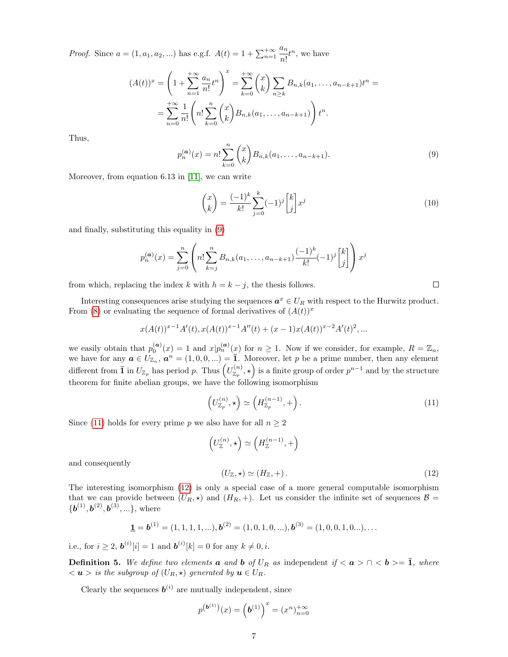*Proof.* Since  $a = (1, a_1, a_2, ...)$  has e.g.f.  $A(t) = 1 + \sum_{n=1}^{+\infty}$  $a_n$  $\frac{a_n}{n!}t^n$ , we have

$$
(A(t))^x = \left(1 + \sum_{n=1}^{+\infty} \frac{a_n}{n!} t^n\right)^x = \sum_{k=0}^{+\infty} {x \choose k} \sum_{n \ge k} B_{n,k}(a_1, \dots, a_{n-k+1}) t^n =
$$
  
= 
$$
\sum_{n=0}^{+\infty} \frac{1}{n!} \left(n! \sum_{k=0}^{n} {x \choose k} B_{n,k}(a_1, \dots, a_{n-k+1})\right) t^n.
$$

Thus,

$$
p_n^{(\mathbf{a})}(x) = n! \sum_{k=0}^n {x \choose k} B_{n,k}(a_1, \dots, a_{n-k+1}).
$$
\n(9)

Moreover, from equation 6.13 in [11], we can write

$$
\binom{x}{k} = \frac{(-1)^k}{k!} \sum_{j=0}^k (-1)^j \binom{k}{j} x^j \tag{10}
$$

and finally, substituting this equality in (9)

$$
p_n^{(\mathbf{a})}(x) = \sum_{j=0}^n \left( n! \sum_{k=j}^n B_{n,k}(a_1, \dots, a_{n-k+1}) \frac{(-1)^k}{k!} (-1)^j \begin{bmatrix} k \\ j \end{bmatrix} \right) x^j
$$

from which, replacing the index k with  $h = k - j$ , the thesis follows.

Interesting consequences arise studying the sequences  $a^x \in U_R$  with respect to the Hurwitz product. From (8) or evaluating the sequence of formal derivatives of  $(A(t))^x$ 

$$
x(A(t))^{x-1}A'(t), x(A(t))^{x-1}A''(t) + (x - 1)x(A(t))^{x-2}A'(t)^{2},...
$$

we easily obtain that  $p_0^{(a)}(x) = 1$  and  $x|p_n^{(a)}(x)$  for  $n \ge 1$ . Now if we consider, for example,  $R = \mathbb{Z}_n$ , we have for any  $a \in U_{\mathbb{Z}_n}$ ,  $a^n = (1,0,0,...) = \overline{1}$ . Moreover, let p be a prime number, then any element different from  $\bar{1}$  in  $U_{\mathbb{Z}_p}$  has period p. Thus  $(U_{\mathbb{Z}_p}^{(n)}, \star)$  is a finite group of order  $p^{n-1}$  and by the structure theorem for finite abelian groups, we have the following isomorphism

$$
\left(U_{\mathbb{Z}_p}^{(n)},\star\right) \simeq \left(H_{\mathbb{Z}_p}^{(n-1)},+\right). \tag{11}
$$

Since (11) holds for every prime p we also have for all  $n \geq 2$ 

$$
\left(U^{(n)}_{\mathbb{Z}},\star\right)\simeq \left(H^{(n-1)}_{\mathbb{Z}},+\right)
$$

and consequently

$$
(U_{\mathbb{Z}}, \star) \simeq (H_{\mathbb{Z}}, +). \tag{12}
$$

The interesting isomorphism (12) is only a special case of a more general computable isomorphism that we can provide between  $(U_R, \star)$  and  $(H_R, +)$ . Let us consider the infinite set of sequences  $\mathcal{B} =$  ${\{b^{(1)},b^{(2)},b^{(3)},...\}}$ , where

$$
\mathbf{1} = \mathbf{b}^{(1)} = (1, 1, 1, 1, \ldots), \mathbf{b}^{(2)} = (1, 0, 1, 0, \ldots), \mathbf{b}^{(3)} = (1, 0, 0, 1, 0, \ldots), \ldots
$$

i.e., for  $i \geq 2$ ,  $b^{(i)}[i] = 1$  and  $b^{(i)}[k] = 0$  for any  $k \neq 0, i$ .

**Definition 5.** We define two elements **a** and **b** of  $U_R$  as independent if  $\langle a \rangle \cap \langle b \rangle = \overline{1}$ , where  $\langle u \rangle$  is the subgroup of  $(U_R, \star)$  generated by  $u \in U_R$ .

Clearly the sequences  $b^{(i)}$  are mutually independent, since

$$
p^{(b^{(1)})}(x) = (b^{(1)})^x = (x^n)_{n=0}^{+\infty}
$$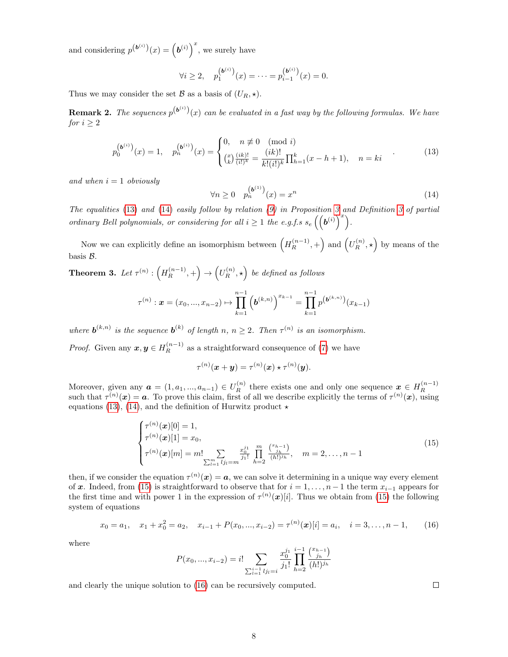and considering  $p^{(\boldsymbol{b}^{(i)})}(x) = (\boldsymbol{b}^{(i)})^x$ , we surely have

$$
\forall i \ge 2, \quad p_1^{(\mathbf{b}^{(i)})}(x) = \dots = p_{i-1}^{(\mathbf{b}^{(i)})}(x) = 0.
$$

Thus we may consider the set  $\mathcal B$  as a basis of  $(U_R, \star)$ .

**Remark 2.** The sequences  $p^{(b^{(i)})}(x)$  can be evaluated in a fast way by the following formulas. We have for  $i \geq 2$ 

$$
p_0^{(b^{(i)})}(x) = 1, \quad p_n^{(b^{(i)})}(x) = \begin{cases} 0, & n \not\equiv 0 \pmod{i} \\ \binom{x}{k} \frac{(ik)!}{(i!)^k} = \frac{(ik)!}{k!(i!)^k} \prod_{h=1}^k (x - h + 1), & n = ki \end{cases} \tag{13}
$$

and when  $i = 1$  obviously

$$
\forall n \ge 0 \quad p_n^{(b^{(1)})}(x) = x^n \tag{14}
$$

The equalities (13) and (14) easily follow by relation (9) in Proposition 3 and Definition 3 of partial ordinary Bell polynomials, or considering for all  $i \geq 1$  the e.g.f.s  $s_e\left(\left(\boldsymbol{b}^{(i)}\right)^x\right)$ .

Now we can explicitly define an isomorphism between  $(H_R^{(n-1)},+)$  and  $(U_R^{(n)},\star)$  by means of the basis B.

**Theorem 3.** Let  $\tau^{(n)}$ :  $(H_R^{(n-1)},+) \rightarrow (U_R^{(n)},\star)$  be defined as follows

$$
\tau^{(n)}: \boldsymbol{x} = (x_0, ..., x_{n-2}) \mapsto \prod_{k=1}^{n-1} \left( \boldsymbol{b}^{(k,n)} \right)^{x_{k-1}} = \prod_{k=1}^{n-1} p^{\left( \boldsymbol{b}^{(k,n)} \right)} (x_{k-1})
$$

where  $\mathbf{b}^{(k,n)}$  is the sequence  $\mathbf{b}^{(k)}$  of length n,  $n \geq 2$ . Then  $\tau^{(n)}$  is an isomorphism.

*Proof.* Given any  $x, y \in H_R^{(n-1)}$  as a straightforward consequence of (7) we have

 $\tau^{(n)}(\boldsymbol{x}+\boldsymbol{y})=\tau^{(n)}(\boldsymbol{x})\star\tau^{(n)}(\boldsymbol{y}).$ 

Moreover, given any  $a = (1, a_1, ..., a_{n-1}) \in U_R^{(n)}$  there exists one and only one sequence  $x \in H_R^{(n-1)}$ wholeover, given any  $\mathbf{u} = (1, u_1, ..., u_{n-1}) \in \mathcal{O}_R$  there exists one and only one sequence  $\mathbf{x} \in \mathcal{H}_R$ <br>such that  $\tau^{(n)}(\mathbf{x}) = \mathbf{a}$ . To prove this claim, first of all we describe explicitly the terms of  $\tau^{(n)}(\math$ equations (13), (14), and the definition of Hurwitz product  $\star$ 

$$
\begin{cases}\n\tau^{(n)}(\boldsymbol{x})[0] = 1, \\
\tau^{(n)}(\boldsymbol{x})[1] = x_0, \\
\tau^{(n)}(\boldsymbol{x})[m] = m! \sum_{\sum_{l=1}^m l_{j_l} = m} \frac{x_{0l}^{j_1}}{j_1!} \prod_{h=2}^m \frac{\binom{x_{h-1}}{j_h}}{(h!)^{j_h}}, \quad m = 2, \dots, n-1\n\end{cases}
$$
\n(15)

then, if we consider the equation  $\tau^{(n)}(x) = a$ , we can solve it determining in a unique way every element of x. Indeed, from (15) is straightforward to observe that for  $i = 1, \ldots, n - 1$  the term  $x_{i-1}$  appears for the first time and with power 1 in the expression of  $\tau^{(n)}(x)[i]$ . Thus we obtain from (15) the following system of equations

$$
x_0 = a_1, \quad x_1 + x_0^2 = a_2, \quad x_{i-1} + P(x_0, ..., x_{i-2}) = \tau^{(n)}(\boldsymbol{x})[i] = a_i, \quad i = 3, ..., n-1,
$$
 (16)

where

$$
P(x_0, ..., x_{i-2}) = i! \sum_{\sum_{l=1}^{i-1} l j_l = i} \frac{x_0^{j_1}}{j_1!} \prod_{h=2}^{i-1} \frac{\binom{x_{h-1}}{j_h}}{(h!)^{j_h}}
$$

and clearly the unique solution to (16) can be recursively computed.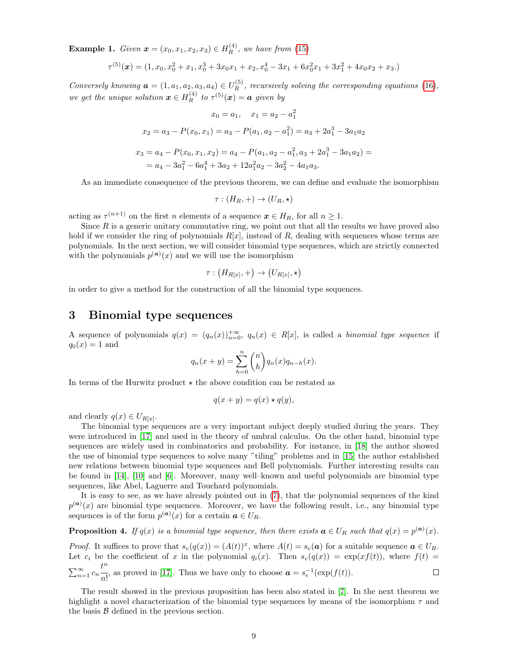**Example 1.** Given  $x = (x_0, x_1, x_2, x_3) \in H_R^{(4)}$ , we have from (15)

$$
\tau^{(5)}(\boldsymbol{x}) = (1, x_0, x_0^2 + x_1, x_0^3 + 3x_0x_1 + x_2, x_0^4 - 3x_1 + 6x_0^2x_1 + 3x_1^2 + 4x_0x_2 + x_3.)
$$

Conversely knowing  $\mathbf{a} = (1, a_1, a_2, a_3, a_4) \in U_R^{(5)}$ , recursively solving the corresponding equations (16), we get the unique solution  $\mathbf{x} \in H_R^{(4)}$  to  $\tau^{(5)}(\mathbf{x}) = \mathbf{a}$  given by

$$
x_0 = a_1, \quad x_1 = a_2 - a_1^2
$$
  
\n
$$
x_2 = a_3 - P(x_0, x_1) = a_3 - P(a_1, a_2 - a_1^2) = a_3 + 2a_1^3 - 3a_1a_2
$$
  
\n
$$
x_3 = a_4 - P(x_0, x_1, x_2) = a_4 - P(a_1, a_2 - a_1^2, a_3 + 2a_1^3 - 3a_1a_2) = a_4 - 3a_1^2 - 6a_1^4 + 3a_2 + 12a_1^2a_2 - 3a_2^2 - 4a_1a_3.
$$

As an immediate consequence of the previous theorem, we can define and evaluate the isomorphism

$$
\tau: (H_R, +) \to (U_R, \star)
$$

acting as  $\tau^{(n+1)}$  on the first *n* elements of a sequence  $\boldsymbol{x} \in H_R$ , for all  $n \geq 1$ .

Since  $R$  is a generic unitary commutative ring, we point out that all the results we have proved also hold if we consider the ring of polynomials  $R[x]$ , instead of R, dealing with sequences whose terms are polynomials. In the next section, we will consider binomial type sequences, which are strictly connected with the polynomials  $p^{(a)}(x)$  and we will use the isomorphism

$$
\tau: (H_{R[x]}, +) \to (U_{R[x]}, \star)
$$

in order to give a method for the construction of all the binomial type sequences.

### 3 Binomial type sequences

A sequence of polynomials  $q(x) = (q_n(x))_{n=0}^{+\infty}$ ,  $q_n(x) \in R[x]$ , is called a *binomial type sequence* if  $q_0(x) = 1$  and

$$
q_n(x + y) = \sum_{h=0}^{n} {n \choose h} q_n(x) q_{n-h}(x).
$$

In terms of the Hurwitz product  $\star$  the above condition can be restated as

$$
q(x + y) = q(x) \star q(y),
$$

and clearly  $q(x) \in U_{R[x]}$ .

The binomial type sequences are a very important subject deeply studied during the years. They were introduced in [17] and used in the theory of umbral calculus. On the other hand, binomial type sequences are widely used in combinatorics and probability. For instance, in [18] the author showed the use of binomial type sequences to solve many "tiling" problems and in [15] the author established new relations between binomial type sequences and Bell polynomials. Further interesting results can be found in [14], [10] and [6]. Moreover, many well–known and useful polynomials are binomial type sequences, like Abel, Laguerre and Touchard polynomials.

It is easy to see, as we have already pointed out in (7), that the polynomial sequences of the kind  $p^{(a)}(x)$  are binomial type sequences. Moreover, we have the following result, i.e., any binomial type sequences is of the form  $p^{(a)}(x)$  for a certain  $a \in U_R$ .

**Proposition 4.** If  $q(x)$  is a binomial type sequence, then there exists  $a \in U_R$  such that  $q(x) = p^{(a)}(x)$ .

*Proof.* It suffices to prove that  $s_e(q(x)) = (A(t))^x$ , where  $A(t) = s_e(a)$  for a suitable sequence  $a \in U_R$ . Let  $c_i$  be the coefficient of x in the polynomial  $q_i(x)$ . Then  $s_e(q(x)) = \exp(xf(t))$ , where  $f(t) =$  $\sum_{n=1}^{\infty} c_n \frac{t^n}{n!}$  $\frac{v}{n!}$ , as proved in [17]. Thus we have only to choose  $\mathbf{a} = s_e^{-1}(\exp(f(t)).$  $\Box$ 

The result showed in the previous proposition has been also stated in [7]. In the next theorem we highlight a novel characterization of the binomial type sequences by means of the isomorphism  $\tau$  and the basis  $\beta$  defined in the previous section.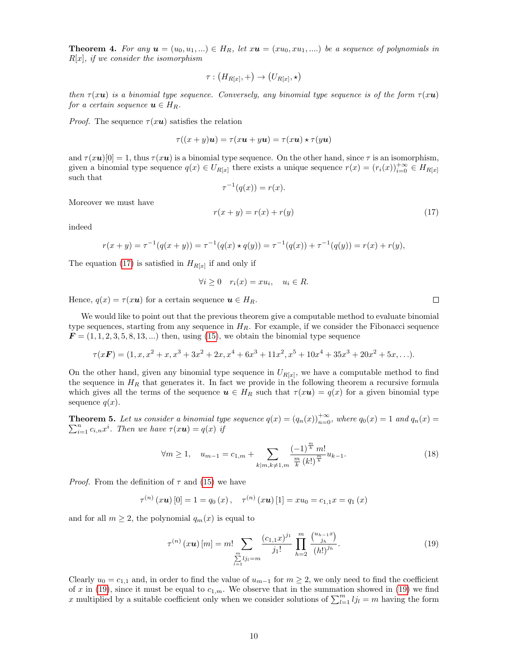**Theorem 4.** For any  $u = (u_0, u_1, ...) \in H_R$ , let  $xu = (xu_0, xu_1, ...)$  be a sequence of polynomials in  $R[x]$ , if we consider the isomorphism

$$
\tau: (H_{R[x]}, +) \to (U_{R[x]}, \star)
$$

then  $\tau(xu)$  is a binomial type sequence. Conversely, any binomial type sequence is of the form  $\tau(xu)$ for a certain sequence  $\mathbf{u} \in H_R$ .

*Proof.* The sequence  $\tau(xu)$  satisfies the relation

$$
\tau((x+y)\mathbf{u}) = \tau(x\mathbf{u} + y\mathbf{u}) = \tau(x\mathbf{u}) \star \tau(y\mathbf{u})
$$

and  $\tau(xu)[0] = 1$ , thus  $\tau(xu)$  is a binomial type sequence. On the other hand, since  $\tau$  is an isomorphism, given a binomial type sequence  $q(x) \in U_{R[x]}$  there exists a unique sequence  $r(x) = (r_i(x))_{i=0}^{+\infty} \in H_{R[x]}$ such that

$$
\tau^{-1}(q(x)) = r(x).
$$

Moreover we must have

$$
r(x+y) = r(x) + r(y)
$$
\n<sup>(17)</sup>

indeed

$$
r(x + y) = \tau^{-1}(q(x + y)) = \tau^{-1}(q(x) \star q(y)) = \tau^{-1}(q(x)) + \tau^{-1}(q(y)) = r(x) + r(y),
$$

The equation (17) is satisfied in  $H_{R[x]}$  if and only if

$$
\forall i \ge 0 \quad r_i(x) = xu_i, \quad u_i \in R.
$$

Hence,  $q(x) = \tau(xu)$  for a certain sequence  $u \in H_R$ .

We would like to point out that the previous theorem give a computable method to evaluate binomial type sequences, starting from any sequence in  $H_R$ . For example, if we consider the Fibonacci sequence  $\mathbf{F} = (1, 1, 2, 3, 5, 8, 13, \ldots)$  then, using (15), we obtain the binomial type sequence

$$
\tau(xF) = (1, x, x^2 + x, x^3 + 3x^2 + 2x, x^4 + 6x^3 + 11x^2, x^5 + 10x^4 + 35x^3 + 20x^2 + 5x, \ldots).
$$

On the other hand, given any binomial type sequence in  $U_{R[x]}$ , we have a computable method to find the sequence in  $H_R$  that generates it. In fact we provide in the following theorem a recursive formula which gives all the terms of the sequence  $u \in H_R$  such that  $\tau(xu) = q(x)$  for a given binomial type sequence  $q(x)$ .

**Theorem 5.** Let us consider a binomial type sequence  $q(x) = (q_n(x))_{n=0}^{+\infty}$ , where  $q_0(x) = 1$  and  $q_n(x) =$  $\sum_{i=1}^n c_{i,n} x^i$ . Then we have  $\tau(xu) = q(x)$  if

$$
\forall m \ge 1, \quad u_{m-1} = c_{1,m} + \sum_{k|m,k \ne 1,m} \frac{(-1)^{\frac{m}{k}} m!}{\frac{m}{k} (k!)^{\frac{m}{k}} u_{k-1}}.
$$
 (18)

*Proof.* From the definition of  $\tau$  and (15) we have

$$
\tau^{(n)}(x\mathbf{u})[0] = 1 = q_0(x), \quad \tau^{(n)}(x\mathbf{u})[1] = xu_0 = c_{1,1}x = q_1(x)
$$

and for all  $m \geq 2$ , the polynomial  $q_m(x)$  is equal to

$$
\tau^{(n)}(x\mathbf{u})[m] = m! \sum_{\substack{m\\ \sum_{l=1}^{m} l_{jl} = m}} \frac{(c_{1,1}x)^{j_1}}{j_1!} \prod_{h=2}^{m} \frac{\binom{u_{h-1}x}{j_h}}{(h!)^{j_h}}.
$$
\n(19)

Clearly  $u_0 = c_{1,1}$  and, in order to find the value of  $u_{m-1}$  for  $m \geq 2$ , we only need to find the coefficient of x in (19), since it must be equal to  $c_{1,m}$ . We observe that in the summation showed in (19) we find x multiplied by a suitable coefficient only when we consider solutions of  $\sum_{l=1}^{m} l_{jl} = m$  having the form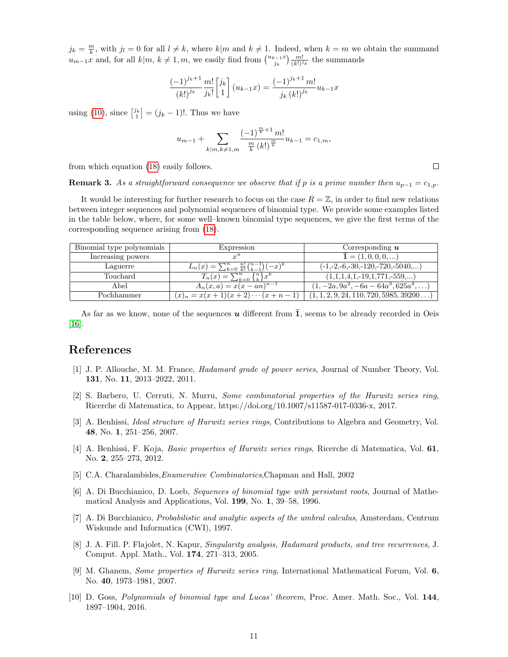$j_k = \frac{m}{k}$ , with  $j_l = 0$  for all  $l \neq k$ , where  $k|m$  and  $k \neq 1$ . Indeed, when  $k = m$  we obtain the summand  $u_{m-1}x$  and, for all  $k|m, k \neq 1, m$ , we easily find from  $\binom{u_{k-1}x}{j_k}\frac{m!}{(k!)^{j_k}}$  the summands

$$
\frac{(-1)^{j_k+1}}{(k!)^{j_k}} \frac{m!}{j_k!} \begin{bmatrix} j_k \ 1 \end{bmatrix} (u_{k-1}x) = \frac{(-1)^{j_k+1} m!}{j_k (k!)^{j_k}} u_{k-1}x
$$

using (10), since  $\binom{j_k}{1} = (j_k - 1)!$ . Thus we have

$$
u_{m-1} + \sum_{k|m,k \neq 1,m} \frac{(-1)^{\frac{m}{k}+1} m!}{\frac{m}{k} (k!)^{\frac{m}{k}}} u_{k-1} = c_{1,m},
$$

from which equation (18) easily follows.

**Remark 3.** As a straightforward consequence we observe that if p is a prime number then  $u_{p-1} = c_{1,p}$ .

It would be interesting for further research to focus on the case  $R = \mathbb{Z}$ , in order to find new relations between integer sequences and polynomial sequences of binomial type. We provide some examples listed in the table below, where, for some well–known binomial type sequences, we give the first terms of the corresponding sequence arising from (18).

| Binomial type polynomials | Expression                                                           | Corresponding $\boldsymbol{u}$                 |
|---------------------------|----------------------------------------------------------------------|------------------------------------------------|
| Increasing powers         | $r^n$                                                                | $\mathbf{1} = (1, 0, 0, 0, )$                  |
| Laguerre                  | $L_n(x) = \sum_{k=0}^n \frac{n!}{k!} \binom{n-1}{k-1}$<br>$(-x)^{n}$ | $(-1,-2,-6,-30,-120,-720,-5040,)$              |
| Touchard                  | $\{n\}x^k$<br>$T_n(x) = \sum_{k=0}^n$<br>$\prime$ $-k=0$ .           | $(1,1,1,4,1,-19,1,771,-559,)$                  |
| Abel                      | $A_n(x,a) = x(x-an)^{n-1}$                                           | $(1, -2a, 9a^2, -6a - 64a^3, 625a^4, \ldots)$  |
| Pochhammer                | $(x)_n = x(x+1)(x+2)\cdots(x+n-1)$                                   | $(1, 1, 2, 9, 24, 110, 720, 5985, 39200\dots)$ |

As far as we know, none of the sequences  $u$  different from  $\overline{1}$ , seems to be already recorded in Oeis [16].

## References

- [1] J. P. Allouche, M. M. France, Hadamard grade of power series, Journal of Number Theory, Vol. 131, No. 11, 2013–2022, 2011.
- [2] S. Barbero, U. Cerruti, N. Murru, Some combinatorial properties of the Hurwitz series ring, Ricerche di Matematica, to Appear, https://doi.org/10.1007/s11587-017-0336-x, 2017.
- [3] A. Benhissi, Ideal structure of Hurwitz series rings, Contributions to Algebra and Geometry, Vol. 48, No. 1, 251–256, 2007.
- [4] A. Benhissi, F. Koja, Basic properties of Hurwitz series rings, Ricerche di Matematica, Vol. 61, No. 2, 255–273, 2012.
- [5] C.A. Charalambides,Enumerative Combinatorics,Chapman and Hall, 2002
- [6] A. Di Bucchianico, D. Loeb, Sequences of binomial type with persistant roots, Journal of Mathematical Analysis and Applications, Vol. 199, No. 1, 39–58, 1996.
- [7] A. Di Bucchianico, Probabilistic and analytic aspects of the umbral calculus, Amsterdam, Centrum Wiskunde and Informatica (CWI), 1997.
- [8] J. A. Fill. P. Flajolet, N. Kapur, Singularity analysis, Hadamard products, and tree recurrences, J. Comput. Appl. Math., Vol. 174, 271–313, 2005.
- [9] M. Ghanem, Some properties of Hurwitz series ring, International Mathematical Forum, Vol. 6, No. 40, 1973–1981, 2007.
- [10] D. Goss, Polynomials of binomial type and Lucas' theorem, Proc. Amer. Math. Soc., Vol. 144, 1897–1904, 2016.